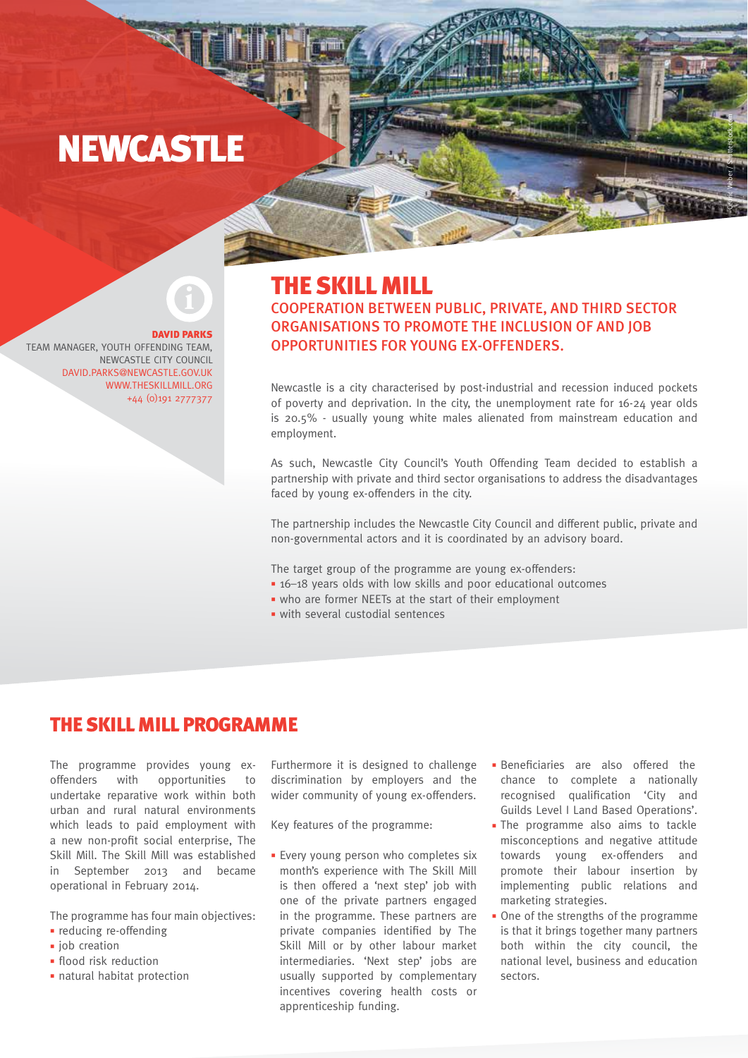# NEWCASTLE

#### DAVID PARKS

**i**

TEAM MANAGER, YOUTH OFFENDING TEAM, NEWCASTLE CITY COUNCIL DAVID.PARKS@NEWCASTLE.GOV.UK WWW.THESKILLMILL.ORG +44 (0)191 2777377

#### THE SKILL MILL COOPERATION BETWEEN PUBLIC, PRIVATE, AND THIRD SECTOR ORGANISATIONS TO PROMOTE THE INCLUSION OF AND JOB OPPORTUNITIES FOR YOUNG EX-OFFENDERS.

Newcastle is a city characterised by post-industrial and recession induced pockets of poverty and deprivation. In the city, the unemployment rate for 16-24 year olds is 20.5% - usually young white males alienated from mainstream education and employment.

As such, Newcastle City Council's Youth Offending Team decided to establish a partnership with private and third sector organisations to address the disadvantages faced by young ex-offenders in the city.

The partnership includes the Newcastle City Council and different public, private and non-governmental actors and it is coordinated by an advisory board.

The target group of the programme are young ex-offenders:

- **■** 16–18 years olds with low skills and poor educational outcomes
- **■** who are former NEETs at the start of their employment
- **■** with several custodial sentences

### THE SKILL MILL PROGRAMME

The programme provides young exoffenders with opportunities to undertake reparative work within both urban and rural natural environments which leads to paid employment with a new non-profit social enterprise, The Skill Mill. The Skill Mill was established in September 2013 and became operational in February 2014.

The programme has four main objectives:

- **■** reducing re-offending
- **■** job creation
- **■** flood risk reduction
- **■** natural habitat protection

Furthermore it is designed to challenge discrimination by employers and the wider community of young ex-offenders.

Key features of the programme:

- **■** Every young person who completes six month's experience with The Skill Mill is then offered a 'next step' job with one of the private partners engaged in the programme. These partners are private companies identified by The Skill Mill or by other labour market intermediaries. 'Next step' jobs are usually supported by complementary incentives covering health costs or apprenticeship funding.
- **■** Beneficiaries are also offered the chance to complete a nationally recognised qualification 'City and Guilds Level I Land Based Operations'.

Cedric Weber / Shutterstock.com

- **■** The programme also aims to tackle misconceptions and negative attitude towards young ex-offenders and promote their labour insertion by implementing public relations and marketing strategies.
- **■** One of the strengths of the programme is that it brings together many partners both within the city council, the national level, business and education sectors.